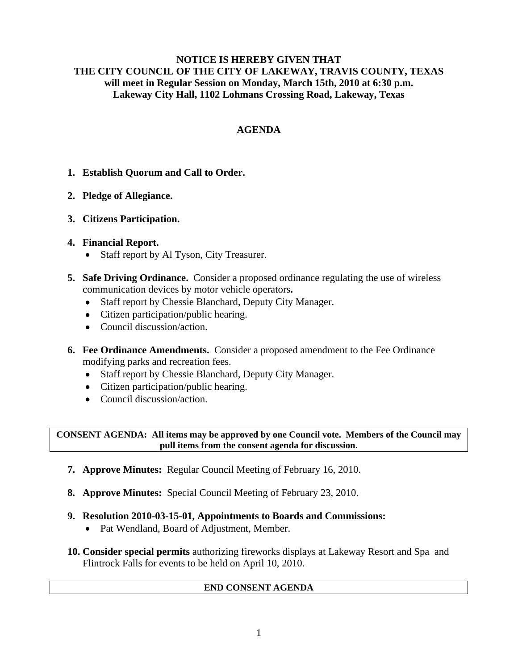### **NOTICE IS HEREBY GIVEN THAT THE CITY COUNCIL OF THE CITY OF LAKEWAY, TRAVIS COUNTY, TEXAS will meet in Regular Session on Monday, March 15th, 2010 at 6:30 p.m. Lakeway City Hall, 1102 Lohmans Crossing Road, Lakeway, Texas**

## **AGENDA**

- **1. Establish Quorum and Call to Order.**
- **2. Pledge of Allegiance.**
- **3. Citizens Participation.**
- **4. Financial Report.** 
	- Staff report by Al Tyson, City Treasurer.
- **5. Safe Driving Ordinance.** Consider a proposed ordinance regulating the use of wireless communication devices by motor vehicle operators**.**
	- Staff report by Chessie Blanchard, Deputy City Manager.
	- Citizen participation/public hearing.
	- Council discussion/action.
- **6. Fee Ordinance Amendments.** Consider a proposed amendment to the Fee Ordinance modifying parks and recreation fees.
	- Staff report by Chessie Blanchard, Deputy City Manager.
	- Citizen participation/public hearing.
	- Council discussion/action.

**CONSENT AGENDA: All items may be approved by one Council vote. Members of the Council may pull items from the consent agenda for discussion.** 

- **7. Approve Minutes:** Regular Council Meeting of February 16, 2010.
- **8. Approve Minutes:** Special Council Meeting of February 23, 2010.
- **9. Resolution 2010-03-15-01, Appointments to Boards and Commissions:**
	- Pat Wendland, Board of Adjustment, Member.
- **10. Consider special permits** authorizing fireworks displays at Lakeway Resort and Spa and Flintrock Falls for events to be held on April 10, 2010.

### **END CONSENT AGENDA**